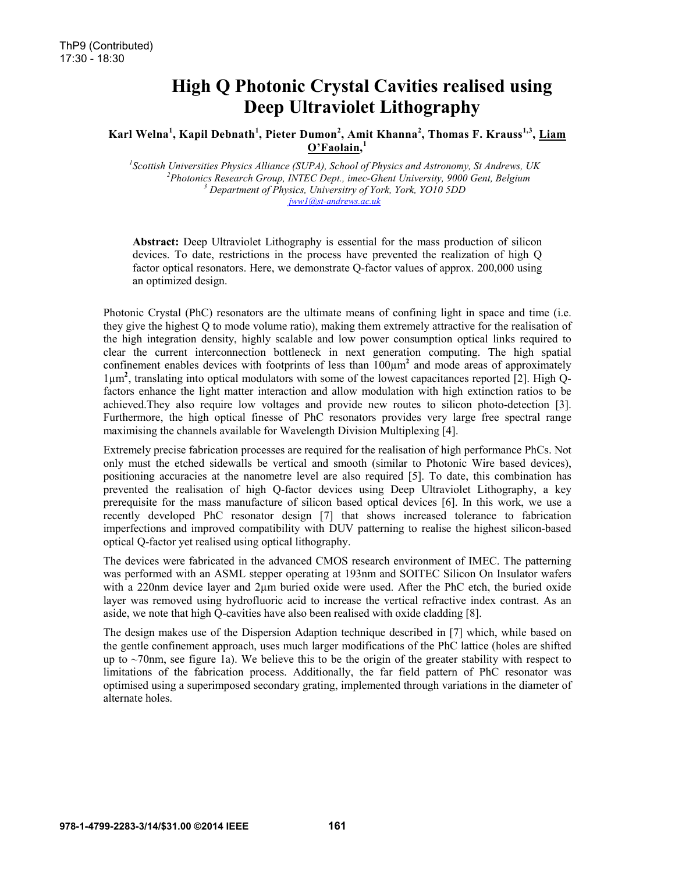# High Q Photonic Crystal Cavities realised using Deep Ultraviolet Lithography

# Karl Welna<sup>1</sup>, Kapil Debnath<sup>1</sup>, Pieter Dumon<sup>2</sup>, Amit Khanna<sup>2</sup>, Thomas F. Krauss<sup>1,3</sup>, <u>Liam</u>  $O'Fa$ olain.<sup>1</sup>

<sup>1</sup><br>
<sup>1</sup>Scottish Universities Physics Alliance (SUPA), School of Physics and Astronomy, St Andrews, UK<br>
<sup>2</sup> Photonics Pessaugh Cuoup, INTEC Dont, image Chapt University, 0000 Capt, Palaium *Photonics Research Group, INTEC Dept., imec-Ghent University, 9000 Gent, Belgium 3 Department of Physics, Universitry of York, York, YO10 5DD jww1@st-andrews.ac.uk*

Abstract: Deep Ultraviolet Lithography is essential for the mass production of silicon devices. To date, restrictions in the process have prevented the realization of high Q factor optical resonators. Here, we demonstrate Q-factor values of approx. 200,000 using an optimized design.

Photonic Crystal (PhC) resonators are the ultimate means of confining light in space and time (i.e. they give the highest Q to mode volume ratio), making them extremely attractive for the realisation of the high integration density, highly scalable and low power consumption optical links required to clear the current interconnection bottleneck in next generation computing. The high spatial confinement enables devices with footprints of less than  $100 \mu m^2$  and mode areas of approximately 1µm<sup>2</sup> , translating into optical modulators with some of the lowest capacitances reported [2]. High Qfactors enhance the light matter interaction and allow modulation with high extinction ratios to be achieved.They also require low voltages and provide new routes to silicon photo-detection [3]. Furthermore, the high optical finesse of PhC resonators provides very large free spectral range maximising the channels available for Wavelength Division Multiplexing [4].

Extremely precise fabrication processes are required for the realisation of high performance PhCs. Not only must the etched sidewalls be vertical and smooth (similar to Photonic Wire based devices), positioning accuracies at the nanometre level are also required [5]. To date, this combination has prevented the realisation of high Q-factor devices using Deep Ultraviolet Lithography, a key prerequisite for the mass manufacture of silicon based optical devices [6]. In this work, we use a recently developed PhC resonator design [7] that shows increased tolerance to fabrication imperfections and improved compatibility with DUV patterning to realise the highest silicon-based optical Q-factor yet realised using optical lithography.

The devices were fabricated in the advanced CMOS research environment of IMEC. The patterning was performed with an ASML stepper operating at 193nm and SOITEC Silicon On Insulator wafers with a 220nm device layer and 2µm buried oxide were used. After the PhC etch, the buried oxide layer was removed using hydrofluoric acid to increase the vertical refractive index contrast. As an aside, we note that high Q-cavities have also been realised with oxide cladding [8].

The design makes use of the Dispersion Adaption technique described in [7] which, while based on the gentle confinement approach, uses much larger modifications of the PhC lattice (holes are shifted up to  $\sim$ 70nm, see figure 1a). We believe this to be the origin of the greater stability with respect to limitations of the fabrication process. Additionally, the far field pattern of PhC resonator was optimised using a superimposed secondary grating, implemented through variations in the diameter of alternate holes.